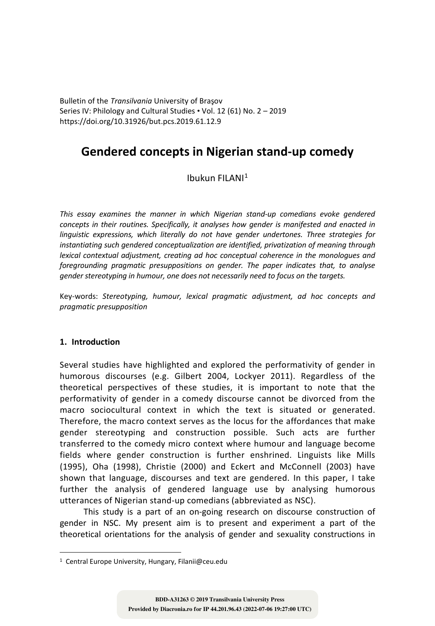Bulletin of the *Transilvania* University of Braşov Series IV: Philology and Cultural Studies • Vol. 12 (61) No. 2 – 2019 https://doi.org/10.31926/but.pcs.2019.61.12.9

# **Gendered concepts in Nigerian stand-up comedy**

# Ibukun FILANI1

*This essay examines the manner in which Nigerian stand-up comedians evoke gendered concepts in their routines. Specifically, it analyses how gender is manifested and enacted in linguistic expressions, which literally do not have gender undertones. Three strategies for instantiating such gendered conceptualization are identified, privatization of meaning through lexical contextual adjustment, creating ad hoc conceptual coherence in the monologues and foregrounding pragmatic presuppositions on gender. The paper indicates that, to analyse gender stereotyping in humour, one does not necessarily need to focus on the targets.*

Key-words: *Stereotyping, humour, lexical pragmatic adjustment, ad hoc concepts and pragmatic presupposition*

# **1. Introduction**

Several studies have highlighted and explored the performativity of gender in humorous discourses (e.g. Gilbert 2004, Lockyer 2011). Regardless of the theoretical perspectives of these studies, it is important to note that the performativity of gender in a comedy discourse cannot be divorced from the macro sociocultural context in which the text is situated or generated. Therefore, the macro context serves as the locus for the affordances that make gender stereotyping and construction possible. Such acts are further transferred to the comedy micro context where humour and language become fields where gender construction is further enshrined. Linguists like Mills (1995), Oha (1998), Christie (2000) and Eckert and McConnell (2003) have shown that language, discourses and text are gendered. In this paper, I take further the analysis of gendered language use by analysing humorous utterances of Nigerian stand-up comedians (abbreviated as NSC).

This study is a part of an on-going research on discourse construction of gender in NSC. My present aim is to present and experiment a part of the theoretical orientations for the analysis of gender and sexuality constructions in

<sup>1</sup> Central Europe University, Hungary, Filanii@ceu.edu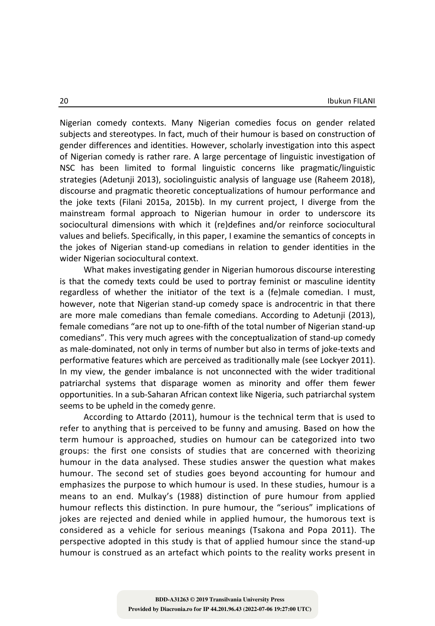Nigerian comedy contexts. Many Nigerian comedies focus on gender related subjects and stereotypes. In fact, much of their humour is based on construction of gender differences and identities. However, scholarly investigation into this aspect of Nigerian comedy is rather rare. A large percentage of linguistic investigation of NSC has been limited to formal linguistic concerns like pragmatic/linguistic strategies (Adetunji 2013), sociolinguistic analysis of language use (Raheem 2018), discourse and pragmatic theoretic conceptualizations of humour performance and the joke texts (Filani 2015a, 2015b). In my current project, I diverge from the mainstream formal approach to Nigerian humour in order to underscore its sociocultural dimensions with which it (re)defines and/or reinforce sociocultural values and beliefs. Specifically, in this paper, I examine the semantics of concepts in the jokes of Nigerian stand-up comedians in relation to gender identities in the wider Nigerian sociocultural context.

What makes investigating gender in Nigerian humorous discourse interesting is that the comedy texts could be used to portray feminist or masculine identity regardless of whether the initiator of the text is a (fe)male comedian. I must, however, note that Nigerian stand-up comedy space is androcentric in that there are more male comedians than female comedians. According to Adetunji (2013), female comedians "are not up to one-fifth of the total number of Nigerian stand-up comedians". This very much agrees with the conceptualization of stand-up comedy as male-dominated, not only in terms of number but also in terms of joke-texts and performative features which are perceived as traditionally male (see Lockyer 2011). In my view, the gender imbalance is not unconnected with the wider traditional patriarchal systems that disparage women as minority and offer them fewer opportunities. In a sub-Saharan African context like Nigeria, such patriarchal system seems to be upheld in the comedy genre.

According to Attardo (2011), humour is the technical term that is used to refer to anything that is perceived to be funny and amusing. Based on how the term humour is approached, studies on humour can be categorized into two groups: the first one consists of studies that are concerned with theorizing humour in the data analysed. These studies answer the question what makes humour. The second set of studies goes beyond accounting for humour and emphasizes the purpose to which humour is used. In these studies, humour is a means to an end. Mulkay's (1988) distinction of pure humour from applied humour reflects this distinction. In pure humour, the "serious" implications of jokes are rejected and denied while in applied humour, the humorous text is considered as a vehicle for serious meanings (Tsakona and Popa 2011). The perspective adopted in this study is that of applied humour since the stand-up humour is construed as an artefact which points to the reality works present in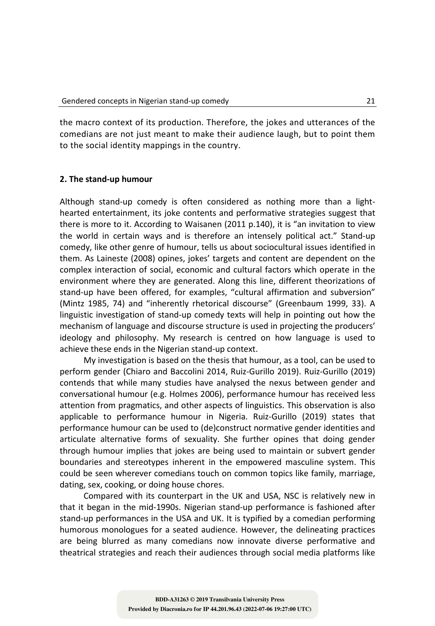the macro context of its production. Therefore, the jokes and utterances of the comedians are not just meant to make their audience laugh, but to point them to the social identity mappings in the country.

## **2. The stand-up humour**

Although stand-up comedy is often considered as nothing more than a lighthearted entertainment, its joke contents and performative strategies suggest that there is more to it. According to Waisanen (2011 p.140), it is "an invitation to view the world in certain ways and is therefore an intensely political act." Stand-up comedy, like other genre of humour, tells us about sociocultural issues identified in them. As Laineste (2008) opines, jokes' targets and content are dependent on the complex interaction of social, economic and cultural factors which operate in the environment where they are generated. Along this line, different theorizations of stand-up have been offered, for examples, "cultural affirmation and subversion" (Mintz 1985, 74) and "inherently rhetorical discourse" (Greenbaum 1999, 33). A linguistic investigation of stand-up comedy texts will help in pointing out how the mechanism of language and discourse structure is used in projecting the producers' ideology and philosophy. My research is centred on how language is used to achieve these ends in the Nigerian stand-up context.

My investigation is based on the thesis that humour, as a tool, can be used to perform gender (Chiaro and Baccolini 2014, Ruiz-Gurillo 2019). Ruiz-Gurillo (2019) contends that while many studies have analysed the nexus between gender and conversational humour (e.g. Holmes 2006), performance humour has received less attention from pragmatics, and other aspects of linguistics. This observation is also applicable to performance humour in Nigeria. Ruiz-Gurillo (2019) states that performance humour can be used to (de)construct normative gender identities and articulate alternative forms of sexuality. She further opines that doing gender through humour implies that jokes are being used to maintain or subvert gender boundaries and stereotypes inherent in the empowered masculine system. This could be seen wherever comedians touch on common topics like family, marriage, dating, sex, cooking, or doing house chores.

Compared with its counterpart in the UK and USA, NSC is relatively new in that it began in the mid-1990s. Nigerian stand-up performance is fashioned after stand-up performances in the USA and UK. It is typified by a comedian performing humorous monologues for a seated audience. However, the delineating practices are being blurred as many comedians now innovate diverse performative and theatrical strategies and reach their audiences through social media platforms like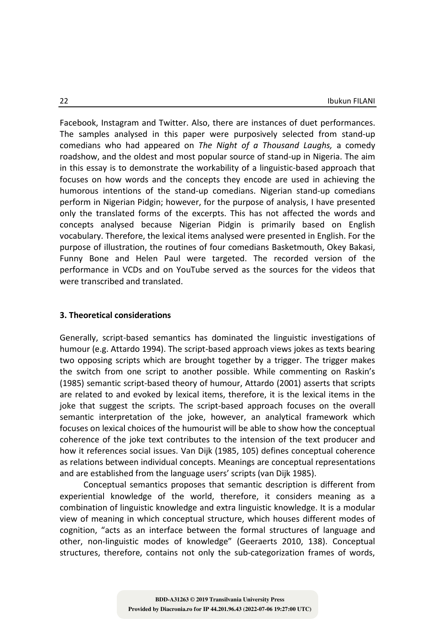Facebook, Instagram and Twitter. Also, there are instances of duet performances. The samples analysed in this paper were purposively selected from stand-up comedians who had appeared on *The Night of a Thousand Laughs,* a comedy roadshow, and the oldest and most popular source of stand-up in Nigeria. The aim in this essay is to demonstrate the workability of a linguistic-based approach that focuses on how words and the concepts they encode are used in achieving the humorous intentions of the stand-up comedians. Nigerian stand-up comedians perform in Nigerian Pidgin; however, for the purpose of analysis, I have presented only the translated forms of the excerpts. This has not affected the words and concepts analysed because Nigerian Pidgin is primarily based on English vocabulary. Therefore, the lexical items analysed were presented in English. For the purpose of illustration, the routines of four comedians Basketmouth, Okey Bakasi, Funny Bone and Helen Paul were targeted. The recorded version of the performance in VCDs and on YouTube served as the sources for the videos that were transcribed and translated.

## **3. Theoretical considerations**

Generally, script-based semantics has dominated the linguistic investigations of humour (e.g. Attardo 1994). The script-based approach views jokes as texts bearing two opposing scripts which are brought together by a trigger. The trigger makes the switch from one script to another possible. While commenting on Raskin's (1985) semantic script-based theory of humour, Attardo (2001) asserts that scripts are related to and evoked by lexical items, therefore, it is the lexical items in the joke that suggest the scripts. The script-based approach focuses on the overall semantic interpretation of the joke, however, an analytical framework which focuses on lexical choices of the humourist will be able to show how the conceptual coherence of the joke text contributes to the intension of the text producer and how it references social issues. Van Dijk (1985, 105) defines conceptual coherence as relations between individual concepts. Meanings are conceptual representations and are established from the language users' scripts (van Dijk 1985).

Conceptual semantics proposes that semantic description is different from experiential knowledge of the world, therefore, it considers meaning as a combination of linguistic knowledge and extra linguistic knowledge. It is a modular view of meaning in which conceptual structure, which houses different modes of cognition, "acts as an interface between the formal structures of language and other, non-linguistic modes of knowledge" (Geeraerts 2010, 138). Conceptual structures, therefore, contains not only the sub-categorization frames of words,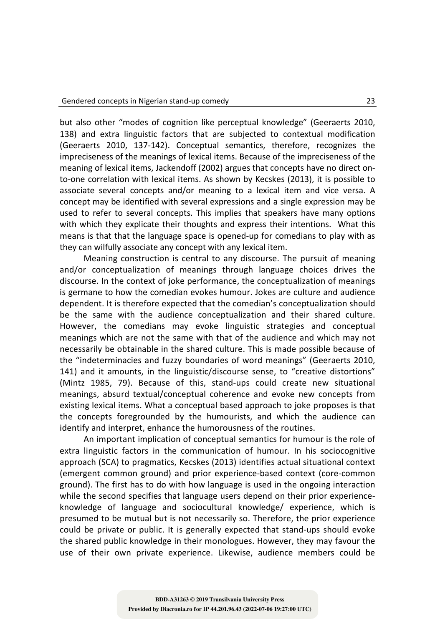but also other "modes of cognition like perceptual knowledge" (Geeraerts 2010, 138) and extra linguistic factors that are subjected to contextual modification (Geeraerts 2010, 137-142). Conceptual semantics, therefore, recognizes the impreciseness of the meanings of lexical items. Because of the impreciseness of the meaning of lexical items, Jackendoff (2002) argues that concepts have no direct onto-one correlation with lexical items. As shown by Kecskes (2013), it is possible to associate several concepts and/or meaning to a lexical item and vice versa. A concept may be identified with several expressions and a single expression may be used to refer to several concepts. This implies that speakers have many options with which they explicate their thoughts and express their intentions. What this means is that that the language space is opened-up for comedians to play with as they can wilfully associate any concept with any lexical item.

Meaning construction is central to any discourse. The pursuit of meaning and/or conceptualization of meanings through language choices drives the discourse. In the context of joke performance, the conceptualization of meanings is germane to how the comedian evokes humour. Jokes are culture and audience dependent. It is therefore expected that the comedian's conceptualization should be the same with the audience conceptualization and their shared culture. However, the comedians may evoke linguistic strategies and conceptual meanings which are not the same with that of the audience and which may not necessarily be obtainable in the shared culture. This is made possible because of the "indeterminacies and fuzzy boundaries of word meanings" (Geeraerts 2010, 141) and it amounts, in the linguistic/discourse sense, to "creative distortions" (Mintz 1985, 79). Because of this, stand-ups could create new situational meanings, absurd textual/conceptual coherence and evoke new concepts from existing lexical items. What a conceptual based approach to joke proposes is that the concepts foregrounded by the humourists, and which the audience can identify and interpret, enhance the humorousness of the routines.

An important implication of conceptual semantics for humour is the role of extra linguistic factors in the communication of humour. In his sociocognitive approach (SCA) to pragmatics, Kecskes (2013) identifies actual situational context (emergent common ground) and prior experience-based context (core-common ground). The first has to do with how language is used in the ongoing interaction while the second specifies that language users depend on their prior experienceknowledge of language and sociocultural knowledge/ experience, which is presumed to be mutual but is not necessarily so. Therefore, the prior experience could be private or public. It is generally expected that stand-ups should evoke the shared public knowledge in their monologues. However, they may favour the use of their own private experience. Likewise, audience members could be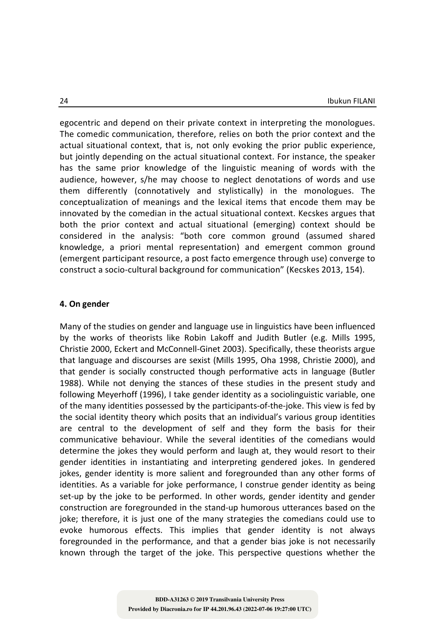egocentric and depend on their private context in interpreting the monologues. The comedic communication, therefore, relies on both the prior context and the actual situational context, that is, not only evoking the prior public experience, but jointly depending on the actual situational context. For instance, the speaker has the same prior knowledge of the linguistic meaning of words with the audience, however, s/he may choose to neglect denotations of words and use them differently (connotatively and stylistically) in the monologues. The conceptualization of meanings and the lexical items that encode them may be innovated by the comedian in the actual situational context. Kecskes argues that both the prior context and actual situational (emerging) context should be considered in the analysis: "both core common ground (assumed shared knowledge, a priori mental representation) and emergent common ground (emergent participant resource, a post facto emergence through use) converge to construct a socio-cultural background for communication" (Kecskes 2013, 154).

#### **4. On gender**

Many of the studies on gender and language use in linguistics have been influenced by the works of theorists like Robin Lakoff and Judith Butler (e.g. Mills 1995, Christie 2000, Eckert and McConnell-Ginet 2003). Specifically, these theorists argue that language and discourses are sexist (Mills 1995, Oha 1998, Christie 2000), and that gender is socially constructed though performative acts in language (Butler 1988). While not denying the stances of these studies in the present study and following Meyerhoff (1996), I take gender identity as a sociolinguistic variable, one of the many identities possessed by the participants-of-the-joke. This view is fed by the social identity theory which posits that an individual's various group identities are central to the development of self and they form the basis for their communicative behaviour. While the several identities of the comedians would determine the jokes they would perform and laugh at, they would resort to their gender identities in instantiating and interpreting gendered jokes. In gendered jokes, gender identity is more salient and foregrounded than any other forms of identities. As a variable for joke performance, I construe gender identity as being set-up by the joke to be performed. In other words, gender identity and gender construction are foregrounded in the stand-up humorous utterances based on the joke; therefore, it is just one of the many strategies the comedians could use to evoke humorous effects. This implies that gender identity is not always foregrounded in the performance, and that a gender bias joke is not necessarily known through the target of the joke. This perspective questions whether the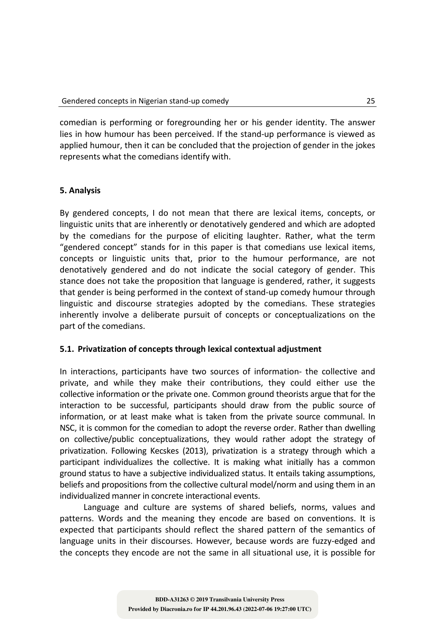comedian is performing or foregrounding her or his gender identity. The answer lies in how humour has been perceived. If the stand-up performance is viewed as applied humour, then it can be concluded that the projection of gender in the jokes represents what the comedians identify with.

# **5. Analysis**

By gendered concepts, I do not mean that there are lexical items, concepts, or linguistic units that are inherently or denotatively gendered and which are adopted by the comedians for the purpose of eliciting laughter. Rather, what the term "gendered concept" stands for in this paper is that comedians use lexical items, concepts or linguistic units that, prior to the humour performance, are not denotatively gendered and do not indicate the social category of gender. This stance does not take the proposition that language is gendered, rather, it suggests that gender is being performed in the context of stand-up comedy humour through linguistic and discourse strategies adopted by the comedians. These strategies inherently involve a deliberate pursuit of concepts or conceptualizations on the part of the comedians.

# **5.1. Privatization of concepts through lexical contextual adjustment**

In interactions, participants have two sources of information*-* the collective and private, and while they make their contributions, they could either use the collective information or the private one. Common ground theorists argue that for the interaction to be successful, participants should draw from the public source of information, or at least make what is taken from the private source communal. In NSC, it is common for the comedian to adopt the reverse order. Rather than dwelling on collective/public conceptualizations, they would rather adopt the strategy of privatization. Following Kecskes (2013), privatization is a strategy through which a participant individualizes the collective. It is making what initially has a common ground status to have a subjective individualized status. It entails taking assumptions, beliefs and propositions from the collective cultural model/norm and using them in an individualized manner in concrete interactional events.

Language and culture are systems of shared beliefs, norms, values and patterns. Words and the meaning they encode are based on conventions. It is expected that participants should reflect the shared pattern of the semantics of language units in their discourses. However, because words are fuzzy-edged and the concepts they encode are not the same in all situational use, it is possible for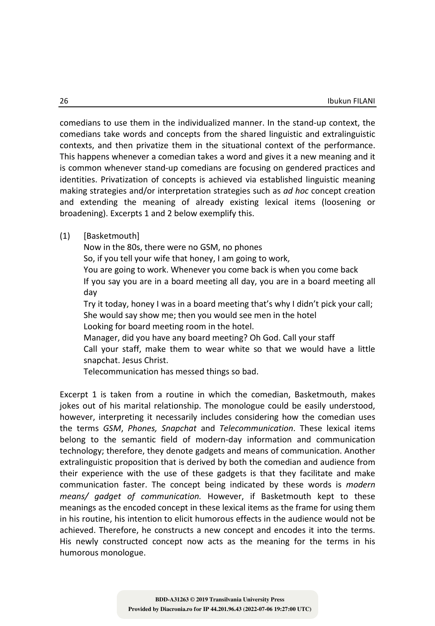comedians to use them in the individualized manner. In the stand-up context, the comedians take words and concepts from the shared linguistic and extralinguistic contexts, and then privatize them in the situational context of the performance. This happens whenever a comedian takes a word and gives it a new meaning and it is common whenever stand-up comedians are focusing on gendered practices and identities. Privatization of concepts is achieved via established linguistic meaning making strategies and/or interpretation strategies such as *ad hoc* concept creation and extending the meaning of already existing lexical items (loosening or broadening). Excerpts 1 and 2 below exemplify this.

## (1) [Basketmouth]

Now in the 80s, there were no GSM, no phones So, if you tell your wife that honey, I am going to work, You are going to work. Whenever you come back is when you come back If you say you are in a board meeting all day, you are in a board meeting all day Try it today, honey I was in a board meeting that's why I didn't pick your call; She would say show me; then you would see men in the hotel Looking for board meeting room in the hotel. Manager, did you have any board meeting? Oh God. Call your staff Call your staff, make them to wear white so that we would have a little snapchat. Jesus Christ.

Telecommunication has messed things so bad.

Excerpt 1 is taken from a routine in which the comedian, Basketmouth, makes jokes out of his marital relationship. The monologue could be easily understood, however, interpreting it necessarily includes considering how the comedian uses the terms *GSM*, *Phones, Snapchat* and *Telecommunication*. These lexical items belong to the semantic field of modern-day information and communication technology; therefore, they denote gadgets and means of communication. Another extralinguistic proposition that is derived by both the comedian and audience from their experience with the use of these gadgets is that they facilitate and make communication faster. The concept being indicated by these words is *modern means/ gadget of communication.* However, if Basketmouth kept to these meanings as the encoded concept in these lexical items as the frame for using them in his routine, his intention to elicit humorous effects in the audience would not be achieved. Therefore, he constructs a new concept and encodes it into the terms. His newly constructed concept now acts as the meaning for the terms in his humorous monologue.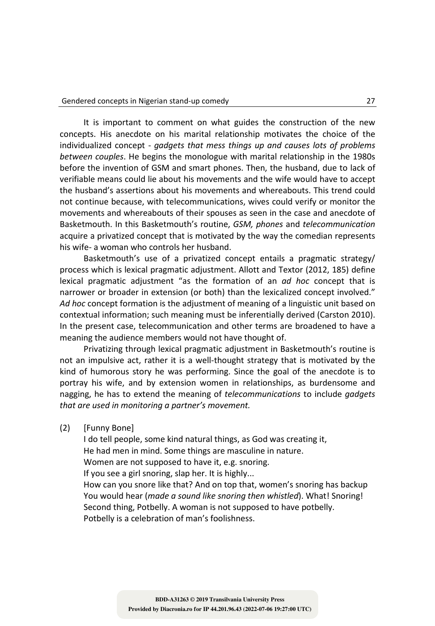It is important to comment on what guides the construction of the new concepts. His anecdote on his marital relationship motivates the choice of the individualized concept - *gadgets that mess things up and causes lots of problems between couples*. He begins the monologue with marital relationship in the 1980s before the invention of GSM and smart phones. Then, the husband, due to lack of verifiable means could lie about his movements and the wife would have to accept the husband's assertions about his movements and whereabouts. This trend could not continue because, with telecommunications, wives could verify or monitor the movements and whereabouts of their spouses as seen in the case and anecdote of Basketmouth. In this Basketmouth's routine, *GSM, phones* and *telecommunication* acquire a privatized concept that is motivated by the way the comedian represents his wife- a woman who controls her husband.

Basketmouth's use of a privatized concept entails a pragmatic strategy/ process which is lexical pragmatic adjustment. Allott and Textor (2012, 185) define lexical pragmatic adjustment "as the formation of an *ad hoc* concept that is narrower or broader in extension (or both) than the lexicalized concept involved." *Ad hoc* concept formation is the adjustment of meaning of a linguistic unit based on contextual information; such meaning must be inferentially derived (Carston 2010). In the present case, telecommunication and other terms are broadened to have a meaning the audience members would not have thought of.

Privatizing through lexical pragmatic adjustment in Basketmouth's routine is not an impulsive act, rather it is a well-thought strategy that is motivated by the kind of humorous story he was performing. Since the goal of the anecdote is to portray his wife, and by extension women in relationships, as burdensome and nagging, he has to extend the meaning of *telecommunications* to include *gadgets that are used in monitoring a partner's movement.*

(2) [Funny Bone]

I do tell people, some kind natural things, as God was creating it, He had men in mind. Some things are masculine in nature. Women are not supposed to have it, e.g. snoring. If you see a girl snoring, slap her. It is highly... How can you snore like that? And on top that, women's snoring has backup You would hear (*made a sound like snoring then whistled*). What! Snoring! Second thing, Potbelly. A woman is not supposed to have potbelly. Potbelly is a celebration of man's foolishness.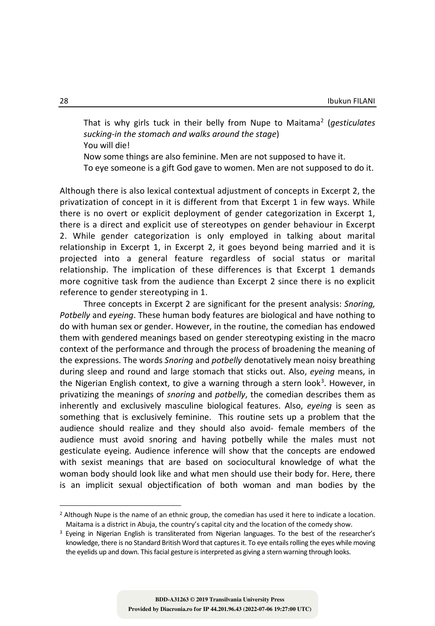That is why girls tuck in their belly from Nupe to Maitama2 (*gesticulates sucking-in the stomach and walks around the stage*) You will die!

Now some things are also feminine. Men are not supposed to have it.

To eye someone is a gift God gave to women. Men are not supposed to do it.

Although there is also lexical contextual adjustment of concepts in Excerpt 2, the privatization of concept in it is different from that Excerpt 1 in few ways. While there is no overt or explicit deployment of gender categorization in Excerpt 1, there is a direct and explicit use of stereotypes on gender behaviour in Excerpt 2. While gender categorization is only employed in talking about marital relationship in Excerpt 1, in Excerpt 2, it goes beyond being married and it is projected into a general feature regardless of social status or marital relationship. The implication of these differences is that Excerpt 1 demands more cognitive task from the audience than Excerpt 2 since there is no explicit reference to gender stereotyping in 1.

Three concepts in Excerpt 2 are significant for the present analysis: *Snoring, Potbelly* and *eyeing*. These human body features are biological and have nothing to do with human sex or gender. However, in the routine, the comedian has endowed them with gendered meanings based on gender stereotyping existing in the macro context of the performance and through the process of broadening the meaning of the expressions. The words *Snoring* and *potbelly* denotatively mean noisy breathing during sleep and round and large stomach that sticks out. Also, *eyeing* means, in the Nigerian English context, to give a warning through a stern look<sup>3</sup>. However, in privatizing the meanings of *snoring* and *potbelly*, the comedian describes them as inherently and exclusively masculine biological features. Also, *eyeing* is seen as something that is exclusively feminine. This routine sets up a problem that the audience should realize and they should also avoid- female members of the audience must avoid snoring and having potbelly while the males must not gesticulate eyeing. Audience inference will show that the concepts are endowed with sexist meanings that are based on sociocultural knowledge of what the woman body should look like and what men should use their body for. Here, there is an implicit sexual objectification of both woman and man bodies by the

 $<sup>2</sup>$  Although Nupe is the name of an ethnic group, the comedian has used it here to indicate a location.</sup> Maitama is a district in Abuja, the country's capital city and the location of the comedy show.

<sup>&</sup>lt;sup>3</sup> Eyeing in Nigerian English is transliterated from Nigerian languages. To the best of the researcher's knowledge, there is no Standard British Word that captures it. To eye entails rolling the eyes while moving the eyelids up and down. This facial gesture is interpreted as giving a stern warning through looks.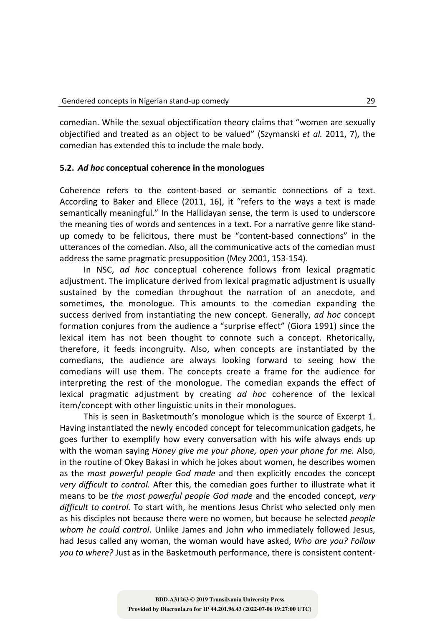comedian. While the sexual objectification theory claims that "women are sexually objectified and treated as an object to be valued" (Szymanski *et al.* 2011, 7), the comedian has extended this to include the male body.

# **5.2.** *Ad hoc* **conceptual coherence in the monologues**

Coherence refers to the content-based or semantic connections of a text. According to Baker and Ellece (2011, 16), it "refers to the ways a text is made semantically meaningful." In the Hallidayan sense, the term is used to underscore the meaning ties of words and sentences in a text. For a narrative genre like standup comedy to be felicitous, there must be "content-based connections" in the utterances of the comedian. Also, all the communicative acts of the comedian must address the same pragmatic presupposition (Mey 2001, 153-154).

In NSC, *ad hoc* conceptual coherence follows from lexical pragmatic adjustment. The implicature derived from lexical pragmatic adjustment is usually sustained by the comedian throughout the narration of an anecdote, and sometimes, the monologue. This amounts to the comedian expanding the success derived from instantiating the new concept. Generally, *ad hoc* concept formation conjures from the audience a "surprise effect" (Giora 1991) since the lexical item has not been thought to connote such a concept. Rhetorically, therefore, it feeds incongruity. Also, when concepts are instantiated by the comedians, the audience are always looking forward to seeing how the comedians will use them. The concepts create a frame for the audience for interpreting the rest of the monologue. The comedian expands the effect of lexical pragmatic adjustment by creating *ad hoc* coherence of the lexical item/concept with other linguistic units in their monologues.

This is seen in Basketmouth's monologue which is the source of Excerpt 1. Having instantiated the newly encoded concept for telecommunication gadgets, he goes further to exemplify how every conversation with his wife always ends up with the woman saying *Honey give me your phone, open your phone for me.* Also, in the routine of Okey Bakasi in which he jokes about women, he describes women as the *most powerful people God made* and then explicitly encodes the concept *very difficult to control.* After this, the comedian goes further to illustrate what it means to be *the most powerful people God made* and the encoded concept, *very difficult to control.* To start with, he mentions Jesus Christ who selected only men as his disciples not because there were no women, but because he selected *people whom he could control*. Unlike James and John who immediately followed Jesus, had Jesus called any woman, the woman would have asked, *Who are you? Follow you to where?* Just as in the Basketmouth performance, there is consistent content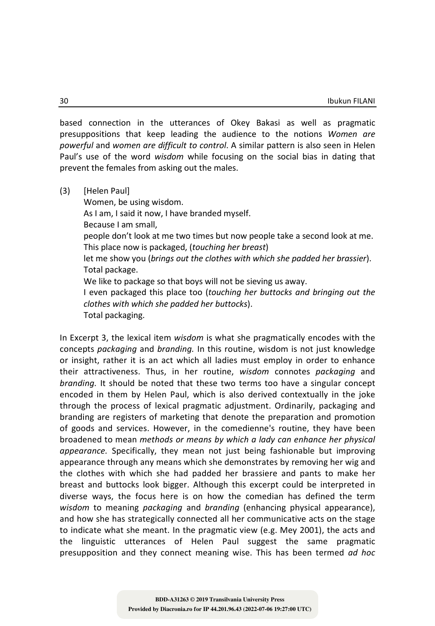based connection in the utterances of Okey Bakasi as well as pragmatic presuppositions that keep leading the audience to the notions *Women are powerful* and *women are difficult to control*. A similar pattern is also seen in Helen Paul's use of the word *wisdom* while focusing on the social bias in dating that prevent the females from asking out the males.

(3) [Helen Paul]

Women, be using wisdom. As I am, I said it now, I have branded myself. Because I am small, people don't look at me two times but now people take a second look at me. This place now is packaged, (*touching her breast*) let me show you (*brings out the clothes with which she padded her brassier*). Total package. We like to package so that boys will not be sieving us away. I even packaged this place too (*touching her buttocks and bringing out the clothes with which she padded her buttocks*). Total packaging.

In Excerpt 3, the lexical item *wisdom* is what she pragmatically encodes with the concepts *packaging* and *branding.* In this routine, wisdom is not just knowledge or insight, rather it is an act which all ladies must employ in order to enhance their attractiveness. Thus, in her routine, *wisdom* connotes *packaging* and *branding.* It should be noted that these two terms too have a singular concept encoded in them by Helen Paul, which is also derived contextually in the joke through the process of lexical pragmatic adjustment. Ordinarily, packaging and branding are registers of marketing that denote the preparation and promotion of goods and services. However, in the comedienne's routine, they have been broadened to mean *methods or means by which a lady can enhance her physical appearance.* Specifically, they mean not just being fashionable but improving appearance through any means which she demonstrates by removing her wig and the clothes with which she had padded her brassiere and pants to make her breast and buttocks look bigger. Although this excerpt could be interpreted in diverse ways, the focus here is on how the comedian has defined the term *wisdom* to meaning *packaging* and *branding* (enhancing physical appearance), and how she has strategically connected all her communicative acts on the stage to indicate what she meant. In the pragmatic view (e.g. Mey 2001), the acts and the linguistic utterances of Helen Paul suggest the same pragmatic presupposition and they connect meaning wise. This has been termed *ad hoc*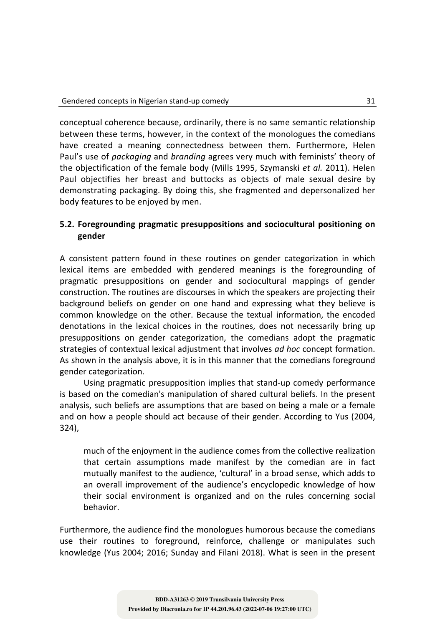conceptual coherence because, ordinarily, there is no same semantic relationship between these terms, however, in the context of the monologues the comedians have created a meaning connectedness between them. Furthermore, Helen Paul's use of *packaging* and *branding* agrees very much with feminists' theory of the objectification of the female body (Mills 1995, Szymanski *et al.* 2011). Helen Paul objectifies her breast and buttocks as objects of male sexual desire by demonstrating packaging. By doing this, she fragmented and depersonalized her body features to be enjoyed by men.

# **5.2. Foregrounding pragmatic presuppositions and sociocultural positioning on gender**

A consistent pattern found in these routines on gender categorization in which lexical items are embedded with gendered meanings is the foregrounding of pragmatic presuppositions on gender and sociocultural mappings of gender construction. The routines are discourses in which the speakers are projecting their background beliefs on gender on one hand and expressing what they believe is common knowledge on the other. Because the textual information, the encoded denotations in the lexical choices in the routines, does not necessarily bring up presuppositions on gender categorization, the comedians adopt the pragmatic strategies of contextual lexical adjustment that involves *ad hoc* concept formation. As shown in the analysis above, it is in this manner that the comedians foreground gender categorization.

Using pragmatic presupposition implies that stand-up comedy performance is based on the comedian's manipulation of shared cultural beliefs. In the present analysis, such beliefs are assumptions that are based on being a male or a female and on how a people should act because of their gender. According to Yus (2004, 324),

much of the enjoyment in the audience comes from the collective realization that certain assumptions made manifest by the comedian are in fact mutually manifest to the audience, 'cultural' in a broad sense, which adds to an overall improvement of the audience's encyclopedic knowledge of how their social environment is organized and on the rules concerning social behavior.

Furthermore, the audience find the monologues humorous because the comedians use their routines to foreground, reinforce, challenge or manipulates such knowledge (Yus 2004; 2016; Sunday and Filani 2018). What is seen in the present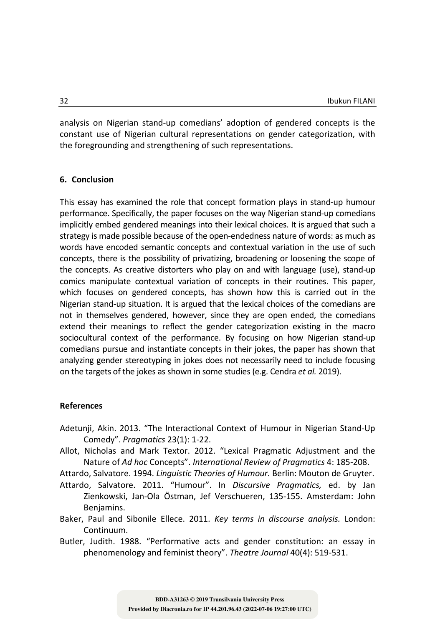analysis on Nigerian stand-up comedians' adoption of gendered concepts is the constant use of Nigerian cultural representations on gender categorization, with the foregrounding and strengthening of such representations.

#### **6. Conclusion**

This essay has examined the role that concept formation plays in stand-up humour performance. Specifically, the paper focuses on the way Nigerian stand-up comedians implicitly embed gendered meanings into their lexical choices. It is argued that such a strategy is made possible because of the open-endedness nature of words: as much as words have encoded semantic concepts and contextual variation in the use of such concepts, there is the possibility of privatizing, broadening or loosening the scope of the concepts. As creative distorters who play on and with language (use), stand-up comics manipulate contextual variation of concepts in their routines. This paper, which focuses on gendered concepts, has shown how this is carried out in the Nigerian stand-up situation. It is argued that the lexical choices of the comedians are not in themselves gendered, however, since they are open ended, the comedians extend their meanings to reflect the gender categorization existing in the macro sociocultural context of the performance. By focusing on how Nigerian stand-up comedians pursue and instantiate concepts in their jokes, the paper has shown that analyzing gender stereotyping in jokes does not necessarily need to include focusing on the targets of the jokes as shown in some studies (e.g. Cendra *et al.* 2019).

#### **References**

- Adetunji, Akin. 2013. "The Interactional Context of Humour in Nigerian Stand-Up Comedy". *Pragmatics* 23(1): 1-22.
- Allot, Nicholas and Mark Textor. 2012. "Lexical Pragmatic Adjustment and the Nature of *Ad hoc* Concepts". *International Review of Pragmatics* 4: 185-208.

Attardo, Salvatore. 1994. *Linguistic Theories of Humour.* Berlin: Mouton de Gruyter.

Attardo, Salvatore. 2011. "Humour". In *Discursive Pragmatics,* ed. by Jan Zienkowski, Jan-Ola Östman, Jef Verschueren, 135-155. Amsterdam: John Benjamins.

- Baker, Paul and Sibonile Ellece. 2011. *Key terms in discourse analysis.* London: Continuum.
- Butler, Judith. 1988. "Performative acts and gender constitution: an essay in phenomenology and feminist theory". *Theatre Journal* 40(4): 519-531.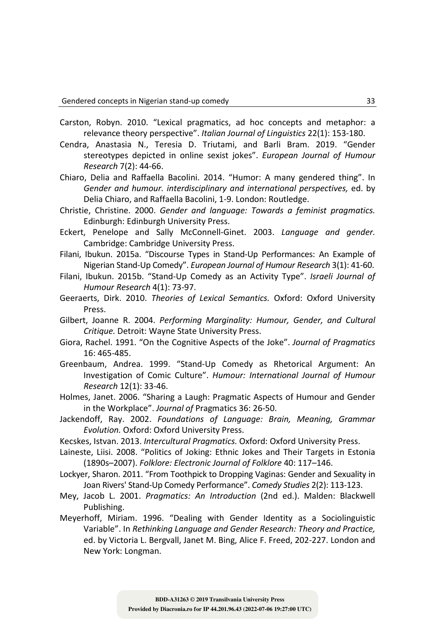- Carston, Robyn. 2010. "Lexical pragmatics, ad hoc concepts and metaphor: a relevance theory perspective". *Italian Journal of Linguistics* 22(1): 153-180.
- Cendra, Anastasia N., Teresia D. Triutami, and Barli Bram. 2019. "Gender stereotypes depicted in online sexist jokes". *European Journal of Humour Research* 7(2): 44-66.
- Chiaro, Delia and Raffaella Bacolini. 2014. "Humor: A many gendered thing". In *Gender and humour. interdisciplinary and international perspectives,* ed. by Delia Chiaro, and Raffaella Bacolini, 1-9. London: Routledge.
- Christie, Christine. 2000. *Gender and language: Towards a feminist pragmatics.* Edinburgh: Edinburgh University Press.
- Eckert, Penelope and Sally McConnell-Ginet. 2003. *Language and gender.* Cambridge: Cambridge University Press.
- Filani, Ibukun. 2015a. "Discourse Types in Stand-Up Performances: An Example of Nigerian Stand-Up Comedy". *European Journal of Humour Research* 3(1): 41-60.
- Filani, Ibukun. 2015b. "Stand-Up Comedy as an Activity Type". *Israeli Journal of Humour Research* 4(1): 73-97.
- Geeraerts, Dirk. 2010. *Theories of Lexical Semantics.* Oxford: Oxford University Press.
- Gilbert, Joanne R. 2004. *Performing Marginality: Humour, Gender, and Cultural Critique.* Detroit: Wayne State University Press.
- Giora, Rachel. 1991. "On the Cognitive Aspects of the Joke". *Journal of Pragmatics* 16: 465-485.
- Greenbaum, Andrea. 1999. "Stand-Up Comedy as Rhetorical Argument: An Investigation of Comic Culture". *Humour: International Journal of Humour Research* 12(1): 33-46.
- Holmes, Janet. 2006. "Sharing a Laugh: Pragmatic Aspects of Humour and Gender in the Workplace". *Journal of* Pragmatics 36: 26-50.
- Jackendoff, Ray. 2002. *Foundations of Language: Brain, Meaning, Grammar Evolution.* Oxford: Oxford University Press.
- Kecskes, Istvan. 2013. *Intercultural Pragmatics.* Oxford: Oxford University Press.
- Laineste, Liisi. 2008. "Politics of Joking: Ethnic Jokes and Their Targets in Estonia (1890s–2007). *Folklore: Electronic Journal of Folklore* 40: 117–146.
- Lockyer, Sharon. 2011. "From Toothpick to Dropping Vaginas: Gender and Sexuality in Joan Rivers' Stand-Up Comedy Performance". *Comedy Studies* 2(2): 113-123.
- Mey, Jacob L. 2001. *Pragmatics: An Introduction* (2nd ed.). Malden: Blackwell Publishing.
- Meyerhoff, Miriam. 1996. "Dealing with Gender Identity as a Sociolinguistic Variable". In *Rethinking Language and Gender Research: Theory and Practice,*  ed. by Victoria L. Bergvall, Janet M. Bing, Alice F. Freed, 202-227. London and New York: Longman.